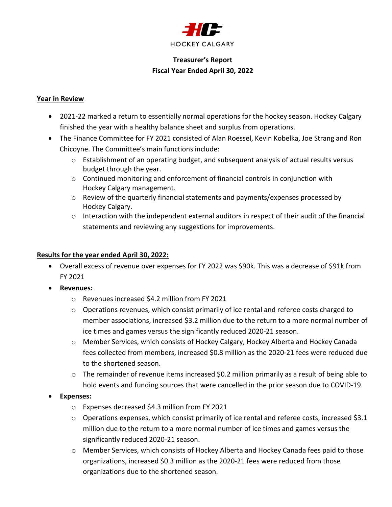

### Treasurer's Report Fiscal Year Ended April 30, 2022

#### Year in Review

- 2021-22 marked a return to essentially normal operations for the hockey season. Hockey Calgary finished the year with a healthy balance sheet and surplus from operations.
- The Finance Committee for FY 2021 consisted of Alan Roessel, Kevin Kobelka, Joe Strang and Ron Chicoyne. The Committee's main functions include:
	- $\circ$  Establishment of an operating budget, and subsequent analysis of actual results versus budget through the year.
	- $\circ$  Continued monitoring and enforcement of financial controls in conjunction with Hockey Calgary management.
	- o Review of the quarterly financial statements and payments/expenses processed by Hockey Calgary.
	- $\circ$  Interaction with the independent external auditors in respect of their audit of the financial statements and reviewing any suggestions for improvements.

#### Results for the year ended April 30, 2022:

- Overall excess of revenue over expenses for FY 2022 was \$90k. This was a decrease of \$91k from FY 2021
- Revenues:
	- o Revenues increased \$4.2 million from FY 2021
	- o Operations revenues, which consist primarily of ice rental and referee costs charged to member associations, increased \$3.2 million due to the return to a more normal number of ice times and games versus the significantly reduced 2020-21 season.
	- o Member Services, which consists of Hockey Calgary, Hockey Alberta and Hockey Canada fees collected from members, increased \$0.8 million as the 2020-21 fees were reduced due to the shortened season.
	- $\circ$  The remainder of revenue items increased \$0.2 million primarily as a result of being able to hold events and funding sources that were cancelled in the prior season due to COVID-19.
- Expenses:
	- o Expenses decreased \$4.3 million from FY 2021
	- $\circ$  Operations expenses, which consist primarily of ice rental and referee costs, increased \$3.1 million due to the return to a more normal number of ice times and games versus the significantly reduced 2020-21 season.
	- o Member Services, which consists of Hockey Alberta and Hockey Canada fees paid to those organizations, increased \$0.3 million as the 2020-21 fees were reduced from those organizations due to the shortened season.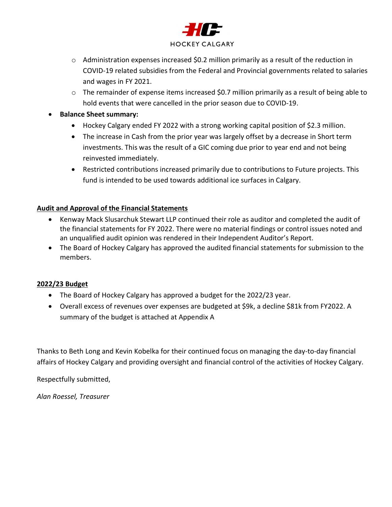

- o Administration expenses increased \$0.2 million primarily as a result of the reduction in COVID-19 related subsidies from the Federal and Provincial governments related to salaries and wages in FY 2021.
- $\circ$  The remainder of expense items increased \$0.7 million primarily as a result of being able to hold events that were cancelled in the prior season due to COVID-19.
- **•** Balance Sheet summary:
	- Hockey Calgary ended FY 2022 with a strong working capital position of \$2.3 million.
	- The increase in Cash from the prior year was largely offset by a decrease in Short term investments. This was the result of a GIC coming due prior to year end and not being reinvested immediately.
	- Restricted contributions increased primarily due to contributions to Future projects. This fund is intended to be used towards additional ice surfaces in Calgary.

#### Audit and Approval of the Financial Statements

- Kenway Mack Slusarchuk Stewart LLP continued their role as auditor and completed the audit of the financial statements for FY 2022. There were no material findings or control issues noted and an unqualified audit opinion was rendered in their Independent Auditor's Report.
- The Board of Hockey Calgary has approved the audited financial statements for submission to the members.

#### 2022/23 Budget

- The Board of Hockey Calgary has approved a budget for the 2022/23 year.
- Overall excess of revenues over expenses are budgeted at \$9k, a decline \$81k from FY2022. A summary of the budget is attached at Appendix A

Thanks to Beth Long and Kevin Kobelka for their continued focus on managing the day-to-day financial affairs of Hockey Calgary and providing oversight and financial control of the activities of Hockey Calgary.

Respectfully submitted,

Alan Roessel, Treasurer